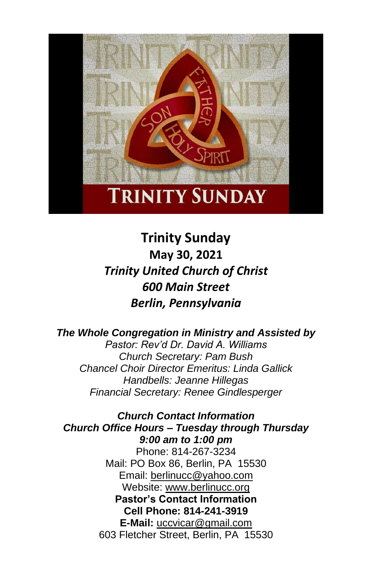

**Trinity Sunday May 30, 2021** *Trinity United Church of Christ 600 Main Street Berlin, Pennsylvania*

*The Whole Congregation in Ministry and Assisted by Pastor: Rev'd Dr. David A. Williams Church Secretary: Pam Bush Chancel Choir Director Emeritus: Linda Gallick Handbells: Jeanne Hillegas Financial Secretary: Renee Gindlesperger*

*Church Contact Information Church Office Hours – Tuesday through Thursday 9:00 am to 1:00 pm* Phone: 814-267-3234 Mail: PO Box 86, Berlin, PA 15530 Email: [berlinucc@yahoo.com](about:blank) Website: [www.berlinucc.org](about:blank) **Pastor's Contact Information Cell Phone: 814-241-3919 E-Mail:** [uccvicar@gmail.com](about:blank) 603 Fletcher Street, Berlin, PA 15530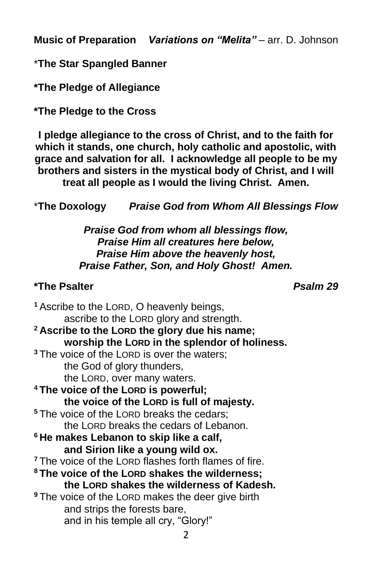**Music of Preparation** *Variations on "Melita"* – arr. D. Johnson

\***The Star Spangled Banner**

**\*The Pledge of Allegiance**

**\*The Pledge to the Cross**

**I pledge allegiance to the cross of Christ, and to the faith for which it stands, one church, holy catholic and apostolic, with grace and salvation for all. I acknowledge all people to be my brothers and sisters in the mystical body of Christ, and I will treat all people as I would the living Christ. Amen.**

\***The Doxology** *Praise God from Whom All Blessings Flow*

*Praise God from whom all blessings flow, Praise Him all creatures here below, Praise Him above the heavenly host, Praise Father, Son, and Holy Ghost! Amen.*

### **\*The Psalter** *Psalm 29*

**<sup>1</sup>** Ascribe to the LORD, O heavenly beings, ascribe to the LORD glory and strength. **<sup>2</sup> Ascribe to the LORD the glory due his name; worship the LORD in the splendor of holiness. <sup>3</sup>** The voice of the LORD is over the waters; the God of glory thunders, the LORD, over many waters. **<sup>4</sup> The voice of the LORD is powerful; the voice of the LORD is full of majesty. <sup>5</sup>** The voice of the LORD breaks the cedars; the LORD breaks the cedars of Lebanon. **<sup>6</sup> He makes Lebanon to skip like a calf, and Sirion like a young wild ox.**  <sup>7</sup> The voice of the LORD flashes forth flames of fire. **<sup>8</sup> The voice of the LORD shakes the wilderness; the LORD shakes the wilderness of Kadesh. <sup>9</sup>** The voice of the LORD makes the deer give birth and strips the forests bare, and in his temple all cry, "Glory!"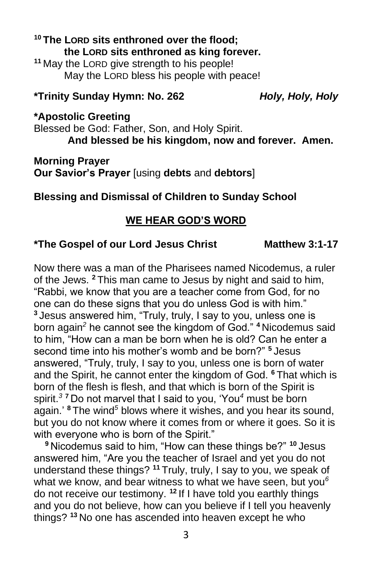# **<sup>10</sup> The LORD sits enthroned over the flood; the LORD sits enthroned as king forever.**

**<sup>11</sup>** May the LORD give strength to his people! May the LORD bless his people with peace!

### **\*Trinity Sunday Hymn: No. 262** *Holy, Holy, Holy*

#### **\*Apostolic Greeting**

Blessed be God: Father, Son, and Holy Spirit. **And blessed be his kingdom, now and forever. Amen.**

**Morning Prayer Our Savior's Prayer** [using **debts** and **debtors**]

## **Blessing and Dismissal of Children to Sunday School**

# **WE HEAR GOD'S WORD**

# **\*The Gospel of our Lord Jesus Christ Matthew 3:1-17**

Now there was a man of the Pharisees named Nicodemus, a ruler of the Jews. **<sup>2</sup>** This man came to Jesus by night and said to him, "Rabbi, we know that you are a teacher come from God, for no one can do these signs that you do unless God is with him." **<sup>3</sup>** Jesus answered him, "Truly, truly, I say to you, unless one is born again*<sup>2</sup>* he cannot see the kingdom of God." **<sup>4</sup>** Nicodemus said to him, "How can a man be born when he is old? Can he enter a second time into his mother's womb and be born?" **<sup>5</sup>** Jesus answered, "Truly, truly, I say to you, unless one is born of water and the Spirit, he cannot enter the kingdom of God. **<sup>6</sup>** That which is born of the flesh is flesh, and that which is born of the Spirit is spirit.*<sup>3</sup>* **<sup>7</sup>** Do not marvel that I said to you, 'You*<sup>4</sup>* must be born again.' **<sup>8</sup>** The wind*<sup>5</sup>* blows where it wishes, and you hear its sound, but you do not know where it comes from or where it goes. So it is with everyone who is born of the Spirit."

**<sup>9</sup>** Nicodemus said to him, "How can these things be?" **<sup>10</sup>** Jesus answered him, "Are you the teacher of Israel and yet you do not understand these things? **<sup>11</sup>** Truly, truly, I say to you, we speak of what we know, and bear witness to what we have seen, but you*<sup>6</sup>* do not receive our testimony. **<sup>12</sup>** If I have told you earthly things and you do not believe, how can you believe if I tell you heavenly things? **<sup>13</sup>** No one has ascended into heaven except he who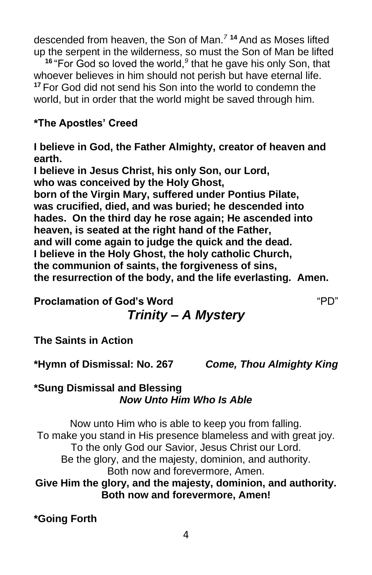descended from heaven, the Son of Man.*<sup>7</sup>* **<sup>14</sup>** And as Moses lifted up the serpent in the wilderness, so must the Son of Man be lifted

<sup>16</sup> "For God so loved the world,<sup>9</sup> that he gave his only Son, that whoever believes in him should not perish but have eternal life. **<sup>17</sup>** For God did not send his Son into the world to condemn the world, but in order that the world might be saved through him.

# **\*The Apostles' Creed**

**I believe in God, the Father Almighty, creator of heaven and earth.**

**I believe in Jesus Christ, his only Son, our Lord, who was conceived by the Holy Ghost, born of the Virgin Mary, suffered under Pontius Pilate, was crucified, died, and was buried; he descended into hades. On the third day he rose again; He ascended into heaven, is seated at the right hand of the Father, and will come again to judge the quick and the dead. I believe in the Holy Ghost, the holy catholic Church, the communion of saints, the forgiveness of sins, the resurrection of the body, and the life everlasting. Amen.**

**Proclamation of God's Word** "PD" *Trinity – A Mystery*

**The Saints in Action**

**\*Hymn of Dismissal: No. 267** *Come, Thou Almighty King*

#### **\*Sung Dismissal and Blessing** *Now Unto Him Who Is Able*

Now unto Him who is able to keep you from falling. To make you stand in His presence blameless and with great joy. To the only God our Savior, Jesus Christ our Lord. Be the glory, and the majesty, dominion, and authority. Both now and forevermore, Amen.

**Give Him the glory, and the majesty, dominion, and authority. Both now and forevermore, Amen!**

**\*Going Forth**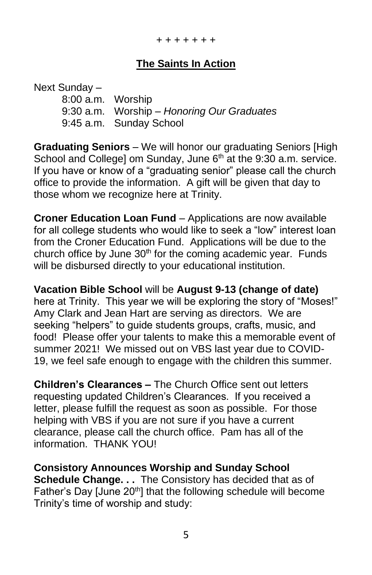# **The Saints In Action**

Next Sunday – 8:00 a.m. Worship 9:30 a.m. Worship – *Honoring Our Graduates* 9:45 a.m. Sunday School

**Graduating Seniors** – We will honor our graduating Seniors [High School and College] om Sunday, June  $6<sup>th</sup>$  at the 9:30 a.m. service. If you have or know of a "graduating senior" please call the church office to provide the information. A gift will be given that day to those whom we recognize here at Trinity.

**Croner Education Loan Fund** – Applications are now available for all college students who would like to seek a "low" interest loan from the Croner Education Fund. Applications will be due to the church office by June 30<sup>th</sup> for the coming academic year. Funds will be disbursed directly to your educational institution.

**Vacation Bible School** will be **August 9-13 (change of date)** here at Trinity. This year we will be exploring the story of "Moses!" Amy Clark and Jean Hart are serving as directors. We are seeking "helpers" to guide students groups, crafts, music, and food! Please offer your talents to make this a memorable event of summer 2021! We missed out on VBS last year due to COVID-19, we feel safe enough to engage with the children this summer.

**Children's Clearances –** The Church Office sent out letters requesting updated Children's Clearances. If you received a letter, please fulfill the request as soon as possible. For those helping with VBS if you are not sure if you have a current clearance, please call the church office. Pam has all of the information. THANK YOU!

**Consistory Announces Worship and Sunday School Schedule Change. . .** The Consistory has decided that as of Father's Day [June 20<sup>th</sup>] that the following schedule will become Trinity's time of worship and study: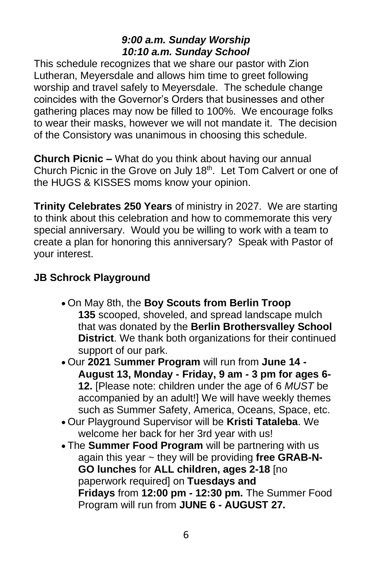# *9:00 a.m. Sunday Worship 10:10 a.m. Sunday School*

This schedule recognizes that we share our pastor with Zion Lutheran, Meyersdale and allows him time to greet following worship and travel safely to Meyersdale. The schedule change coincides with the Governor's Orders that businesses and other gathering places may now be filled to 100%. We encourage folks to wear their masks, however we will not mandate it. The decision of the Consistory was unanimous in choosing this schedule.

**Church Picnic –** What do you think about having our annual Church Picnic in the Grove on July 18<sup>th</sup>. Let Tom Calvert or one of the HUGS & KISSES moms know your opinion.

**Trinity Celebrates 250 Years** of ministry in 2027. We are starting to think about this celebration and how to commemorate this very special anniversary. Would you be willing to work with a team to create a plan for honoring this anniversary? Speak with Pastor of your interest.

# **JB Schrock Playground**

- On May 8th, the **Boy Scouts from Berlin Troop 135** scooped, shoveled, and spread landscape mulch that was donated by the **Berlin Brothersvalley School District**. We thank both organizations for their continued support of our park.
- Our **2021** S**ummer Program** will run from **June 14 - August 13, Monday - Friday, 9 am - 3 pm for ages 6- 12.** [Please note: children under the age of 6 *MUST* be accompanied by an adult!] We will have weekly themes such as Summer Safety, America, Oceans, Space, etc.
- Our Playground Supervisor will be **Kristi Tataleba**. We welcome her back for her 3rd year with us!
- The **Summer Food Program** will be partnering with us again this year ~ they will be providing **free GRAB-N-GO lunches** for **ALL children, ages 2-18** [no paperwork required] on **Tuesdays and Fridays** from **12:00 pm - 12:30 pm.** The Summer Food Program will run from **JUNE 6 - AUGUST 27.**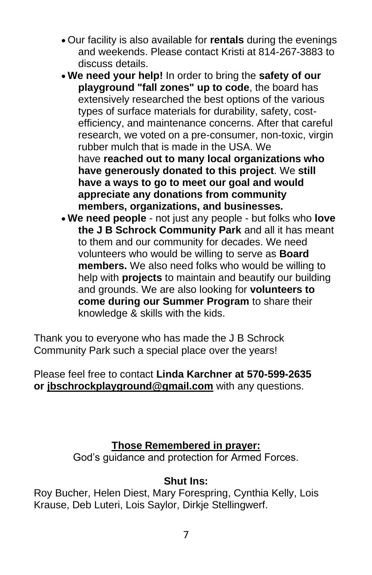- Our facility is also available for **rentals** during the evenings and weekends. Please contact Kristi at 814-267-3883 to discuss details.
- **We need your help!** In order to bring the **safety of our playground "fall zones" up to code**, the board has extensively researched the best options of the various types of surface materials for durability, safety, costefficiency, and maintenance concerns. After that careful research, we voted on a pre-consumer, non-toxic, virgin rubber mulch that is made in the USA. We have **reached out to many local organizations who have generously donated to this project**. We **still have a ways to go to meet our goal and would appreciate any donations from community members, organizations, and businesses.**
- **We need people** not just any people but folks who **love the J B Schrock Community Park** and all it has meant to them and our community for decades. We need volunteers who would be willing to serve as **Board members.** We also need folks who would be willing to help with **projects** to maintain and beautify our building and grounds. We are also looking for **volunteers to come during our Summer Program** to share their knowledge & skills with the kids.

Thank you to everyone who has made the J B Schrock Community Park such a special place over the years!

Please feel free to contact **Linda Karchner at 570-599-2635 or [jbschrockplayground@gmail.com](mailto:jbschrockplayground@gmail.com)** with any questions.

## **Those Remembered in prayer:**

God's guidance and protection for Armed Forces.

#### **Shut Ins:**

Roy Bucher, Helen Diest, Mary Forespring, Cynthia Kelly, Lois Krause, Deb Luteri, Lois Saylor, Dirkje Stellingwerf.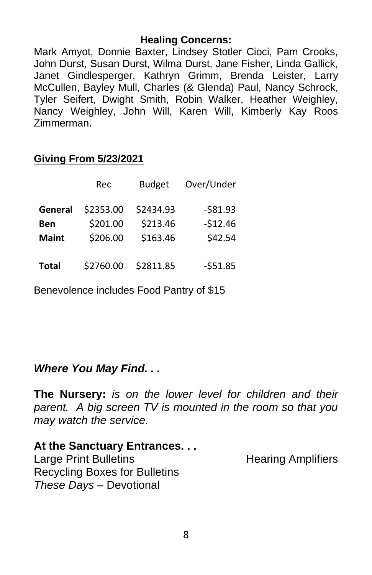#### **Healing Concerns:**

Mark Amyot, Donnie Baxter, Lindsey Stotler Cioci, Pam Crooks, John Durst, Susan Durst, Wilma Durst, Jane Fisher, Linda Gallick, Janet Gindlesperger, Kathryn Grimm, Brenda Leister, Larry McCullen, Bayley Mull, Charles (& Glenda) Paul, Nancy Schrock, Tyler Seifert, Dwight Smith, Robin Walker, Heather Weighley, Nancy Weighley, John Will, Karen Will, Kimberly Kay Roos Zimmerman.

|  | <b>Giving From 5/23/2021</b> |  |
|--|------------------------------|--|
|  |                              |  |

|              | Rec       | <b>Budget</b> | Over/Under |
|--------------|-----------|---------------|------------|
| General      | \$2353.00 | \$2434.93     | $-581.93$  |
| Ben          | \$201.00  | \$213.46      | $-512.46$  |
| <b>Maint</b> | \$206.00  | \$163.46      | \$42.54    |
| <b>Total</b> | \$2760.00 | \$2811.85     | $-551.85$  |

Benevolence includes Food Pantry of \$15

# *Where You May Find. . .*

**The Nursery:** *is on the lower level for children and their parent. A big screen TV is mounted in the room so that you may watch the service.*

**At the Sanctuary Entrances. . .** Large Print Bulletins **Example 20** Hearing Amplifiers Recycling Boxes for Bulletins *These Days –* Devotional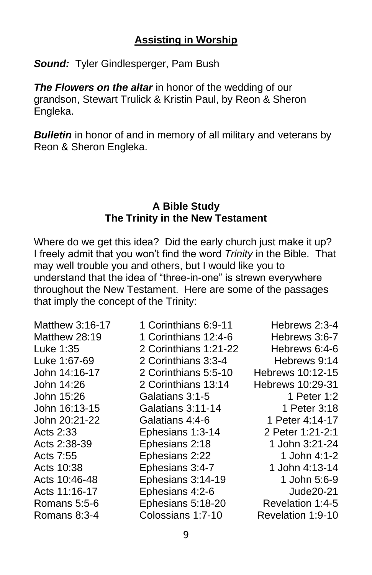# **Assisting in Worship**

*Sound:* Tyler Gindlesperger, Pam Bush

**The Flowers on the altar** in honor of the wedding of our grandson, Stewart Trulick & Kristin Paul, by Reon & Sheron Engleka.

**Bulletin** in honor of and in memory of all military and veterans by Reon & Sheron Engleka.

#### **A Bible Study The Trinity in the New Testament**

Where do we get this idea? Did the early church just make it up? I freely admit that you won't find the word *Trinity* in the Bible. That may well trouble you and others, but I would like you to understand that the idea of "three-in-one" is strewn everywhere throughout the New Testament. Here are some of the passages that imply the concept of the Trinity:

| Matthew 3:16-17 | 1 Corinthians 6:9-11  | Hebrews 2:3-4     |
|-----------------|-----------------------|-------------------|
| Matthew 28:19   | 1 Corinthians 12:4-6  | Hebrews 3:6-7     |
| Luke 1:35       | 2 Corinthians 1:21-22 | Hebrews 6:4-6     |
| Luke 1:67-69    | 2 Corinthians 3:3-4   | Hebrews 9:14      |
| John 14:16-17   | 2 Corinthians 5:5-10  | Hebrews 10:12-15  |
| John 14:26      | 2 Corinthians 13:14   | Hebrews 10:29-31  |
| John 15:26      | Galatians 3:1-5       | 1 Peter 1:2       |
| John 16:13-15   | Galatians 3:11-14     | 1 Peter 3:18      |
| John 20:21-22   | Galatians 4:4-6       | 1 Peter 4:14-17   |
| Acts 2:33       | Ephesians 1:3-14      | 2 Peter 1:21-2:1  |
| Acts 2:38-39    | Ephesians 2:18        | 1 John 3:21-24    |
| Acts 7:55       | Ephesians 2:22        | 1 John 4:1-2      |
| Acts 10:38      | Ephesians 3:4-7       | 1 John 4:13-14    |
| Acts 10:46-48   | Ephesians 3:14-19     | 1 John 5:6-9      |
| Acts 11:16-17   | Ephesians 4:2-6       | Jude 20-21        |
| Romans 5:5-6    | Ephesians 5:18-20     | Revelation 1:4-5  |
| Romans 8:3-4    | Colossians 1:7-10     | Revelation 1:9-10 |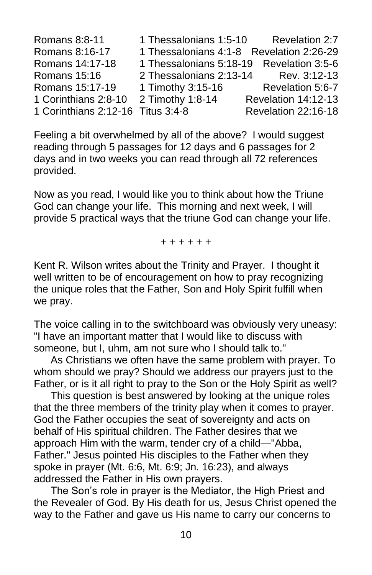Romans 8:8-11 1 Thessalonians 1:5-10 Revelation 2:7 Romans 8:16-17 1 Thessalonians 4:1-8 Revelation 2:26-29 Romans 14:17-18 1 Thessalonians 5:18-19 Revelation 3:5-6 Romans 15:16 2 Thessalonians 2:13-14 Rev. 3:12-13 Romans 15:17-19 1 Timothy 3:15-16 Revelation 5:6-7 1 Corinthians 2:8-10 2 Timothy 1:8-14 Revelation 14:12-13 1 Corinthians 2:12-16 Titus 3:4-8 Revelation 22:16-18

Feeling a bit overwhelmed by all of the above? I would suggest reading through 5 passages for 12 days and 6 passages for 2 days and in two weeks you can read through all 72 references provided.

Now as you read, I would like you to think about how the Triune God can change your life. This morning and next week, I will provide 5 practical ways that the triune God can change your life.

+ + + + + +

Kent R. Wilson writes about the Trinity and Prayer. I thought it well written to be of encouragement on how to pray recognizing the unique roles that the Father, Son and Holy Spirit fulfill when we pray.

The voice calling in to the switchboard was obviously very uneasy: "I have an important matter that I would like to discuss with someone, but I, uhm, am not sure who I should talk to."

As Christians we often have the same problem with prayer. To whom should we pray? Should we address our prayers just to the Father, or is it all right to pray to the Son or the Holy Spirit as well?

This question is best answered by looking at the unique roles that the three members of the trinity play when it comes to prayer. God the Father occupies the seat of sovereignty and acts on behalf of His spiritual children. The Father desires that we approach Him with the warm, tender cry of a child—"Abba, Father." Jesus pointed His disciples to the Father when they spoke in prayer (Mt. 6:6, Mt. 6:9; Jn. 16:23), and always addressed the Father in His own prayers.

The Son's role in prayer is the Mediator, the High Priest and the Revealer of God. By His death for us, Jesus Christ opened the way to the Father and gave us His name to carry our concerns to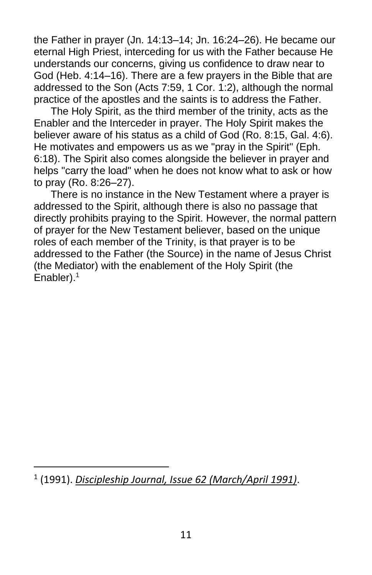the Father in prayer (Jn. 14:13–14; Jn. 16:24–26). He became our eternal High Priest, interceding for us with the Father because He understands our concerns, giving us confidence to draw near to God (Heb. 4:14–16). There are a few prayers in the Bible that are addressed to the Son (Acts 7:59, 1 Cor. 1:2), although the normal practice of the apostles and the saints is to address the Father.

The Holy Spirit, as the third member of the trinity, acts as the Enabler and the Interceder in prayer. The Holy Spirit makes the believer aware of his status as a child of God (Ro. 8:15, Gal. 4:6). He motivates and empowers us as we "pray in the Spirit" (Eph. 6:18). The Spirit also comes alongside the believer in prayer and helps "carry the load" when he does not know what to ask or how to pray (Ro. 8:26–27).

There is no instance in the New Testament where a prayer is addressed to the Spirit, although there is also no passage that directly prohibits praying to the Spirit. However, the normal pattern of prayer for the New Testament believer, based on the unique roles of each member of the Trinity, is that prayer is to be addressed to the Father (the Source) in the name of Jesus Christ (the Mediator) with the enablement of the Holy Spirit (the Enabler).<sup>1</sup>

<sup>1</sup> (1991). *[Discipleship Journal, Issue 62 \(March/April 1991\)](https://ref.ly/logosres/sc-dj062?art=dj062.02.01&off=127&ctx=%0aby+Kent+R.+Wilson%0a%0a~The+voice+calling+in)*.